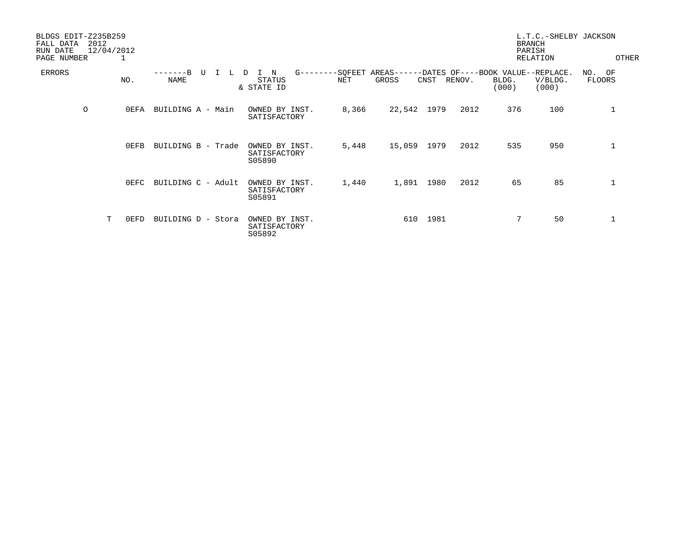| BLDGS EDIT-Z235B259<br>FALL DATA<br>RUN DATE<br>PAGE NUMBER | 2012<br>12/04/2012 | 1       |                    |    |                                          |            |                |                     |      |        |                                                     | L.T.C.-SHELBY JACKSON<br><b>BRANCH</b><br>PARISH<br>RELATION |                            | OTHER |
|-------------------------------------------------------------|--------------------|---------|--------------------|----|------------------------------------------|------------|----------------|---------------------|------|--------|-----------------------------------------------------|--------------------------------------------------------------|----------------------------|-------|
| ERRORS                                                      |                    | NO.     | NAME               | τT | N<br>D<br><b>STATUS</b><br>& STATE ID    | $G$ ------ | -SQFEET<br>NET | $AREAS---$<br>GROSS | CNST | RENOV. | -DATES OF----BOOK VALUE--REPLACE.<br>BLDG.<br>(000) | V/BLDG.<br>(000)                                             | NO.<br>OF<br><b>FLOORS</b> |       |
| $\circ$                                                     |                    | 0EFA    | BUILDING A - Main  |    | OWNED BY INST.<br>SATISFACTORY           |            | 8,366          | 22,542 1979         |      | 2012   | 376                                                 | 100                                                          | 1                          |       |
|                                                             |                    | $0$ EFB | BUILDING B - Trade |    | OWNED BY INST.<br>SATISFACTORY<br>S05890 |            | 5,448          | 15,059              | 1979 | 2012   | 535                                                 | 950                                                          | 1                          |       |
|                                                             |                    | OEFC    | BUILDING C - Adult |    | OWNED BY INST.<br>SATISFACTORY<br>S05891 |            | 1,440          | 1,891               | 1980 | 2012   | 65                                                  | 85                                                           | $\mathbf 1$                |       |
|                                                             | T                  | 0EFD    | BUILDING D - Stora |    | OWNED BY INST.<br>SATISFACTORY<br>S05892 |            |                | 610                 | 1981 |        | 7                                                   | 50                                                           | 1                          |       |